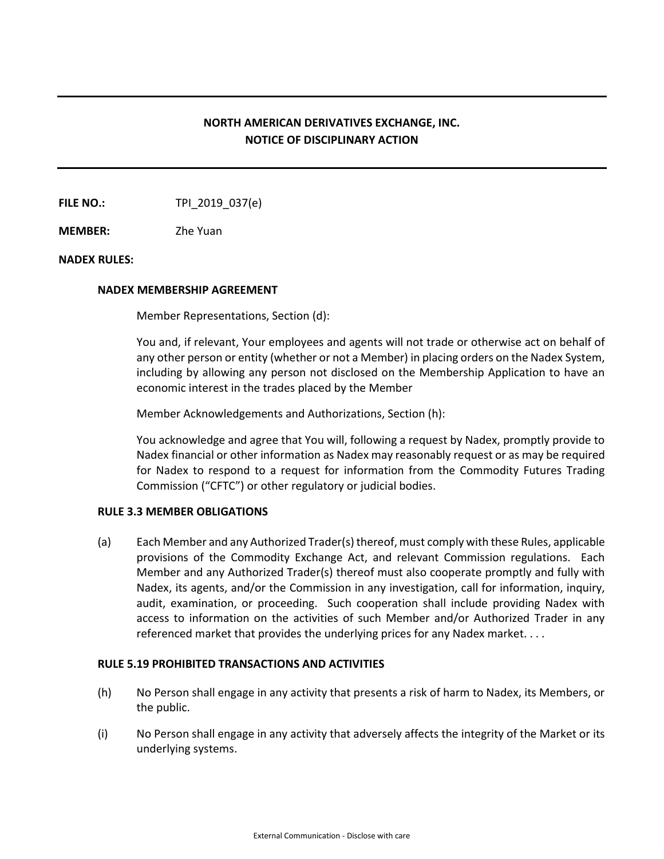# **NORTH AMERICAN DERIVATIVES EXCHANGE, INC. NOTICE OF DISCIPLINARY ACTION**

**FILE NO.:** TPI 2019 037(e)

**MEMBER:** Zhe Yuan

## **NADEX RULES:**

### **NADEX MEMBERSHIP AGREEMENT**

Member Representations, Section (d):

You and, if relevant, Your employees and agents will not trade or otherwise act on behalf of any other person or entity (whether or not a Member) in placing orders on the Nadex System, including by allowing any person not disclosed on the Membership Application to have an economic interest in the trades placed by the Member

Member Acknowledgements and Authorizations, Section (h):

You acknowledge and agree that You will, following a request by Nadex, promptly provide to Nadex financial or other information as Nadex may reasonably request or as may be required for Nadex to respond to a request for information from the Commodity Futures Trading Commission ("CFTC") or other regulatory or judicial bodies.

#### **RULE 3.3 MEMBER OBLIGATIONS**

(a) Each Member and any Authorized Trader(s) thereof, must comply with these Rules, applicable provisions of the Commodity Exchange Act, and relevant Commission regulations. Each Member and any Authorized Trader(s) thereof must also cooperate promptly and fully with Nadex, its agents, and/or the Commission in any investigation, call for information, inquiry, audit, examination, or proceeding. Such cooperation shall include providing Nadex with access to information on the activities of such Member and/or Authorized Trader in any referenced market that provides the underlying prices for any Nadex market. . . .

#### **RULE 5.19 PROHIBITED TRANSACTIONS AND ACTIVITIES**

- (h) No Person shall engage in any activity that presents a risk of harm to Nadex, its Members, or the public.
- (i) No Person shall engage in any activity that adversely affects the integrity of the Market or its underlying systems.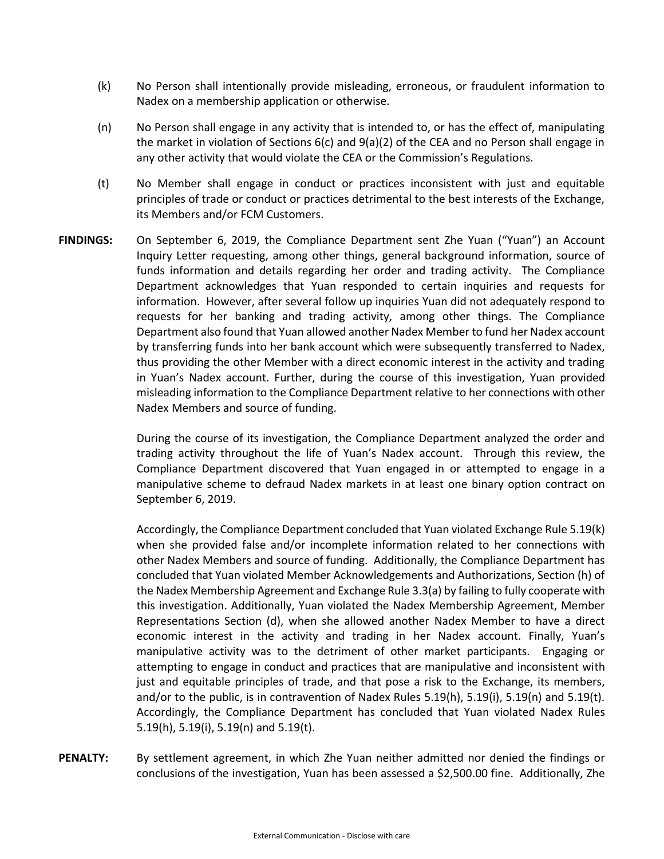- (k) No Person shall intentionally provide misleading, erroneous, or fraudulent information to Nadex on a membership application or otherwise.
- (n) No Person shall engage in any activity that is intended to, or has the effect of, manipulating the market in violation of Sections 6(c) and 9(a)(2) of the CEA and no Person shall engage in any other activity that would violate the CEA or the Commission's Regulations.
- (t) No Member shall engage in conduct or practices inconsistent with just and equitable principles of trade or conduct or practices detrimental to the best interests of the Exchange, its Members and/or FCM Customers.
- **FINDINGS:** On September 6, 2019, the Compliance Department sent Zhe Yuan ("Yuan") an Account Inquiry Letter requesting, among other things, general background information, source of funds information and details regarding her order and trading activity. The Compliance Department acknowledges that Yuan responded to certain inquiries and requests for information. However, after several follow up inquiries Yuan did not adequately respond to requests for her banking and trading activity, among other things. The Compliance Department also found that Yuan allowed another Nadex Member to fund her Nadex account by transferring funds into her bank account which were subsequently transferred to Nadex, thus providing the other Member with a direct economic interest in the activity and trading in Yuan's Nadex account. Further, during the course of this investigation, Yuan provided misleading information to the Compliance Department relative to her connections with other Nadex Members and source of funding.

During the course of its investigation, the Compliance Department analyzed the order and trading activity throughout the life of Yuan's Nadex account. Through this review, the Compliance Department discovered that Yuan engaged in or attempted to engage in a manipulative scheme to defraud Nadex markets in at least one binary option contract on September 6, 2019.

Accordingly, the Compliance Department concluded that Yuan violated Exchange Rule 5.19(k) when she provided false and/or incomplete information related to her connections with other Nadex Members and source of funding. Additionally, the Compliance Department has concluded that Yuan violated Member Acknowledgements and Authorizations, Section (h) of the Nadex Membership Agreement and Exchange Rule 3.3(a) by failing to fully cooperate with this investigation. Additionally, Yuan violated the Nadex Membership Agreement, Member Representations Section (d), when she allowed another Nadex Member to have a direct economic interest in the activity and trading in her Nadex account. Finally, Yuan's manipulative activity was to the detriment of other market participants. Engaging or attempting to engage in conduct and practices that are manipulative and inconsistent with just and equitable principles of trade, and that pose a risk to the Exchange, its members, and/or to the public, is in contravention of Nadex Rules 5.19(h), 5.19(i), 5.19(n) and 5.19(t). Accordingly, the Compliance Department has concluded that Yuan violated Nadex Rules 5.19(h), 5.19(i), 5.19(n) and 5.19(t).

**PENALTY:** By settlement agreement, in which Zhe Yuan neither admitted nor denied the findings or conclusions of the investigation, Yuan has been assessed a \$2,500.00 fine. Additionally, Zhe